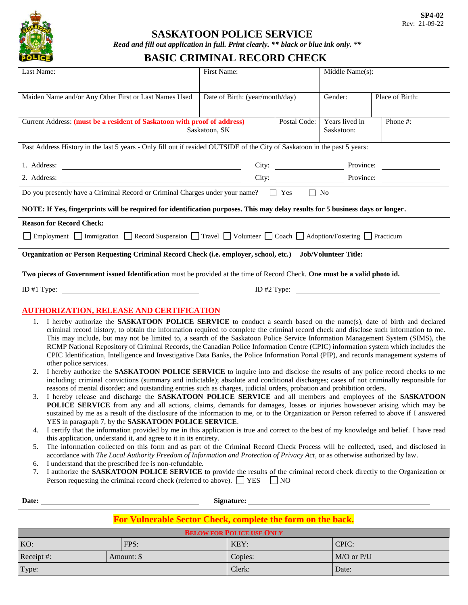

### **SASKATOON POLICE SERVICE**

*Read and fill out application in full. Print clearly. \*\* black or blue ink only. \*\**

# **BASIC CRIMINAL RECORD CHECK**

| Last Name:                                                                                                                                                                                                                                                                                                                                                                                                                                                                                                                                                                                                                                                                                                                                                                                                                                                                                                                                                                                                                                                                                                                                                                                                                                                                                                                                                                                                                                                                                                                                                                                                                                                                                                                                                                                                                                                                                                                                                                                                                                                                                                                                                                                                                                                                                                                                                                      | First Name:                                                                                                                              |  | Middle Name(s): |                 |  |  |  |
|---------------------------------------------------------------------------------------------------------------------------------------------------------------------------------------------------------------------------------------------------------------------------------------------------------------------------------------------------------------------------------------------------------------------------------------------------------------------------------------------------------------------------------------------------------------------------------------------------------------------------------------------------------------------------------------------------------------------------------------------------------------------------------------------------------------------------------------------------------------------------------------------------------------------------------------------------------------------------------------------------------------------------------------------------------------------------------------------------------------------------------------------------------------------------------------------------------------------------------------------------------------------------------------------------------------------------------------------------------------------------------------------------------------------------------------------------------------------------------------------------------------------------------------------------------------------------------------------------------------------------------------------------------------------------------------------------------------------------------------------------------------------------------------------------------------------------------------------------------------------------------------------------------------------------------------------------------------------------------------------------------------------------------------------------------------------------------------------------------------------------------------------------------------------------------------------------------------------------------------------------------------------------------------------------------------------------------------------------------------------------------|------------------------------------------------------------------------------------------------------------------------------------------|--|-----------------|-----------------|--|--|--|
| Maiden Name and/or Any Other First or Last Names Used                                                                                                                                                                                                                                                                                                                                                                                                                                                                                                                                                                                                                                                                                                                                                                                                                                                                                                                                                                                                                                                                                                                                                                                                                                                                                                                                                                                                                                                                                                                                                                                                                                                                                                                                                                                                                                                                                                                                                                                                                                                                                                                                                                                                                                                                                                                           | Date of Birth: (year/month/day)                                                                                                          |  | Gender:         | Place of Birth: |  |  |  |
|                                                                                                                                                                                                                                                                                                                                                                                                                                                                                                                                                                                                                                                                                                                                                                                                                                                                                                                                                                                                                                                                                                                                                                                                                                                                                                                                                                                                                                                                                                                                                                                                                                                                                                                                                                                                                                                                                                                                                                                                                                                                                                                                                                                                                                                                                                                                                                                 | Current Address: (must be a resident of Saskatoon with proof of address)<br>Postal Code:<br>Saskatoon, SK                                |  |                 |                 |  |  |  |
|                                                                                                                                                                                                                                                                                                                                                                                                                                                                                                                                                                                                                                                                                                                                                                                                                                                                                                                                                                                                                                                                                                                                                                                                                                                                                                                                                                                                                                                                                                                                                                                                                                                                                                                                                                                                                                                                                                                                                                                                                                                                                                                                                                                                                                                                                                                                                                                 | Past Address History in the last 5 years - Only fill out if resided OUTSIDE of the City of Saskatoon in the past 5 years:                |  |                 |                 |  |  |  |
| 1. Address:                                                                                                                                                                                                                                                                                                                                                                                                                                                                                                                                                                                                                                                                                                                                                                                                                                                                                                                                                                                                                                                                                                                                                                                                                                                                                                                                                                                                                                                                                                                                                                                                                                                                                                                                                                                                                                                                                                                                                                                                                                                                                                                                                                                                                                                                                                                                                                     | City: Province:<br><u> 1989 - Johann Harry Harry Harry Harry Harry Harry Harry Harry Harry Harry Harry Harry Harry Harry Harry Harry</u> |  |                 |                 |  |  |  |
| 2. Address:                                                                                                                                                                                                                                                                                                                                                                                                                                                                                                                                                                                                                                                                                                                                                                                                                                                                                                                                                                                                                                                                                                                                                                                                                                                                                                                                                                                                                                                                                                                                                                                                                                                                                                                                                                                                                                                                                                                                                                                                                                                                                                                                                                                                                                                                                                                                                                     | <u> 1980 - Johann Barn, mars ann an t-Amhain Aonaich an t-Aonaich an t-Aonaich ann an t-Aonaich ann an t-Aonaich</u>                     |  |                 |                 |  |  |  |
| Do you presently have a Criminal Record or Criminal Charges under your name? □ Yes □ No                                                                                                                                                                                                                                                                                                                                                                                                                                                                                                                                                                                                                                                                                                                                                                                                                                                                                                                                                                                                                                                                                                                                                                                                                                                                                                                                                                                                                                                                                                                                                                                                                                                                                                                                                                                                                                                                                                                                                                                                                                                                                                                                                                                                                                                                                         |                                                                                                                                          |  |                 |                 |  |  |  |
| NOTE: If Yes, fingerprints will be required for identification purposes. This may delay results for 5 business days or longer.                                                                                                                                                                                                                                                                                                                                                                                                                                                                                                                                                                                                                                                                                                                                                                                                                                                                                                                                                                                                                                                                                                                                                                                                                                                                                                                                                                                                                                                                                                                                                                                                                                                                                                                                                                                                                                                                                                                                                                                                                                                                                                                                                                                                                                                  |                                                                                                                                          |  |                 |                 |  |  |  |
| <b>Reason for Record Check:</b>                                                                                                                                                                                                                                                                                                                                                                                                                                                                                                                                                                                                                                                                                                                                                                                                                                                                                                                                                                                                                                                                                                                                                                                                                                                                                                                                                                                                                                                                                                                                                                                                                                                                                                                                                                                                                                                                                                                                                                                                                                                                                                                                                                                                                                                                                                                                                 |                                                                                                                                          |  |                 |                 |  |  |  |
| Employment Immigration Record Suspension Travel Volunteer Cach Adoption/Fostering Practicum                                                                                                                                                                                                                                                                                                                                                                                                                                                                                                                                                                                                                                                                                                                                                                                                                                                                                                                                                                                                                                                                                                                                                                                                                                                                                                                                                                                                                                                                                                                                                                                                                                                                                                                                                                                                                                                                                                                                                                                                                                                                                                                                                                                                                                                                                     |                                                                                                                                          |  |                 |                 |  |  |  |
|                                                                                                                                                                                                                                                                                                                                                                                                                                                                                                                                                                                                                                                                                                                                                                                                                                                                                                                                                                                                                                                                                                                                                                                                                                                                                                                                                                                                                                                                                                                                                                                                                                                                                                                                                                                                                                                                                                                                                                                                                                                                                                                                                                                                                                                                                                                                                                                 | Organization or Person Requesting Criminal Record Check (i.e. employer, school, etc.)<br><b>Job/Volunteer Title:</b>                     |  |                 |                 |  |  |  |
| Two pieces of Government issued Identification must be provided at the time of Record Check. One must be a valid photo id.                                                                                                                                                                                                                                                                                                                                                                                                                                                                                                                                                                                                                                                                                                                                                                                                                                                                                                                                                                                                                                                                                                                                                                                                                                                                                                                                                                                                                                                                                                                                                                                                                                                                                                                                                                                                                                                                                                                                                                                                                                                                                                                                                                                                                                                      |                                                                                                                                          |  |                 |                 |  |  |  |
| ID $#1$ Type:                                                                                                                                                                                                                                                                                                                                                                                                                                                                                                                                                                                                                                                                                                                                                                                                                                                                                                                                                                                                                                                                                                                                                                                                                                                                                                                                                                                                                                                                                                                                                                                                                                                                                                                                                                                                                                                                                                                                                                                                                                                                                                                                                                                                                                                                                                                                                                   | ID $#2$ Type:                                                                                                                            |  |                 |                 |  |  |  |
| <b>AUTHORIZATION, RELEASE AND CERTIFICATION</b>                                                                                                                                                                                                                                                                                                                                                                                                                                                                                                                                                                                                                                                                                                                                                                                                                                                                                                                                                                                                                                                                                                                                                                                                                                                                                                                                                                                                                                                                                                                                                                                                                                                                                                                                                                                                                                                                                                                                                                                                                                                                                                                                                                                                                                                                                                                                 |                                                                                                                                          |  |                 |                 |  |  |  |
| I hereby authorize the SASKATOON POLICE SERVICE to conduct a search based on the name(s), date of birth and declared<br>1.<br>criminal record history, to obtain the information required to complete the criminal record check and disclose such information to me.<br>This may include, but may not be limited to, a search of the Saskatoon Police Service Information Management System (SIMS), the<br>RCMP National Repository of Criminal Records, the Canadian Police Information Centre (CPIC) information system which includes the<br>CPIC Identification, Intelligence and Investigative Data Banks, the Police Information Portal (PIP), and records management systems of<br>other police services.<br>I hereby authorize the SASKATOON POLICE SERVICE to inquire into and disclose the results of any police record checks to me<br>2.<br>including: criminal convictions (summary and indictable); absolute and conditional discharges; cases of not criminally responsible for<br>reasons of mental disorder; and outstanding entries such as charges, judicial orders, probation and prohibition orders.<br>I hereby release and discharge the SASKATOON POLICE SERVICE and all members and employees of the SASKATOON<br>3.<br>POLICE SERVICE from any and all actions, claims, demands for damages, losses or injuries howsoever arising which may be<br>sustained by me as a result of the disclosure of the information to me, or to the Organization or Person referred to above if I answered<br>YES in paragraph 7, by the SASKATOON POLICE SERVICE.<br>I certify that the information provided by me in this application is true and correct to the best of my knowledge and belief. I have read<br>4.<br>this application, understand it, and agree to it in its entirety.<br>The information collected on this form and as part of the Criminal Record Check Process will be collected, used, and disclosed in<br>5.<br>accordance with The Local Authority Freedom of Information and Protection of Privacy Act, or as otherwise authorized by law.<br>I understand that the prescribed fee is non-refundable.<br>6.<br>I authorize the SASKATOON POLICE SERVICE to provide the results of the criminal record check directly to the Organization or<br>7.<br>Person requesting the criminal record check (referred to above). $\Box$ YES $\Box$ NO |                                                                                                                                          |  |                 |                 |  |  |  |
| Date:<br><u> 1980 - Johann Barn, mars ann an t-Aontaithe ann an t-Aontaithe ann an t-Aontaithe ann an t-Aontaithe ann an t-</u>                                                                                                                                                                                                                                                                                                                                                                                                                                                                                                                                                                                                                                                                                                                                                                                                                                                                                                                                                                                                                                                                                                                                                                                                                                                                                                                                                                                                                                                                                                                                                                                                                                                                                                                                                                                                                                                                                                                                                                                                                                                                                                                                                                                                                                                 |                                                                                                                                          |  |                 |                 |  |  |  |
|                                                                                                                                                                                                                                                                                                                                                                                                                                                                                                                                                                                                                                                                                                                                                                                                                                                                                                                                                                                                                                                                                                                                                                                                                                                                                                                                                                                                                                                                                                                                                                                                                                                                                                                                                                                                                                                                                                                                                                                                                                                                                                                                                                                                                                                                                                                                                                                 |                                                                                                                                          |  |                 |                 |  |  |  |

#### **For Vulnerable Sector Check, complete the form on the back.**

| <b>BELOW FOR POLICE USE ONLY</b> |  |         |                |       |  |
|----------------------------------|--|---------|----------------|-------|--|
| KO:                              |  | FPS:    | KEY:           | CPIC: |  |
| Receipt #:<br>Amount: \$         |  | Copies: | $M/O$ or $P/U$ |       |  |
| Type:                            |  |         | Clerk:         | Date: |  |